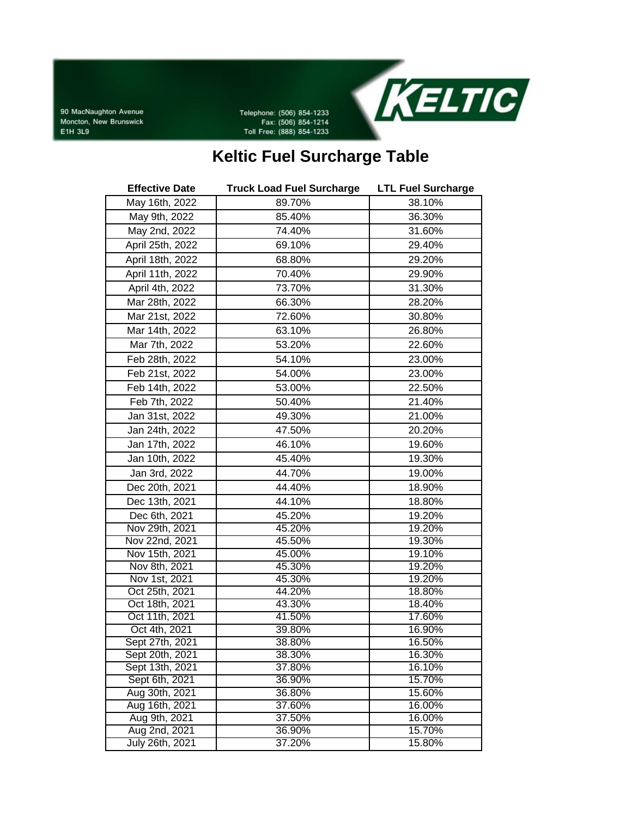90 MacNaughton Avenue Moncton, New Brunswick E1H 3L9

Telephone: (506) 854-1233 Fax: (506) 854-1214 Toll Free: (888) 854-1233



## **Keltic Fuel Surcharge Table**

| <b>Effective Date</b> | <b>Truck Load Fuel Surcharge</b> | <b>LTL Fuel Surcharge</b> |
|-----------------------|----------------------------------|---------------------------|
| May 16th, 2022        | 89.70%                           | 38.10%                    |
| May 9th, 2022         | 85.40%                           | 36.30%                    |
| May 2nd, 2022         | 74.40%                           | 31.60%                    |
| April 25th, 2022      | 69.10%                           | 29.40%                    |
| April 18th, 2022      | 68.80%                           | 29.20%                    |
| April 11th, 2022      | 70.40%                           | 29.90%                    |
| April 4th, 2022       | 73.70%                           | 31.30%                    |
| Mar 28th, 2022        | 66.30%                           | 28.20%                    |
| Mar 21st, 2022        | 72.60%                           | 30.80%                    |
| Mar 14th, 2022        | 63.10%                           | 26.80%                    |
| Mar 7th, 2022         | 53.20%                           | 22.60%                    |
| Feb 28th, 2022        | 54.10%                           | 23.00%                    |
| Feb 21st, 2022        | 54.00%                           | 23.00%                    |
| Feb 14th, 2022        | 53.00%                           | 22.50%                    |
| Feb 7th, 2022         | 50.40%                           | 21.40%                    |
| Jan 31st, 2022        | 49.30%                           | 21.00%                    |
| Jan 24th, 2022        | 47.50%                           | 20.20%                    |
| Jan 17th, 2022        | 46.10%                           | 19.60%                    |
| Jan 10th, 2022        | 45.40%                           | 19.30%                    |
| Jan 3rd, 2022         | 44.70%                           | 19.00%                    |
| Dec 20th, 2021        | 44.40%                           | 18.90%                    |
| Dec 13th, 2021        | 44.10%                           | 18.80%                    |
| Dec 6th, 2021         | 45.20%                           | 19.20%                    |
| Nov 29th, 2021        | 45.20%                           | 19.20%                    |
| Nov 22nd, 2021        | 45.50%                           | 19.30%                    |
| Nov 15th, 2021        | 45.00%                           | 19.10%                    |
| Nov 8th, 2021         | 45.30%                           | 19.20%                    |
| Nov 1st, 2021         | 45.30%                           | 19.20%                    |
| Oct 25th, 2021        | 44.20%                           | 18.80%                    |
| Oct 18th, 2021        | 43.30%                           | 18.40%                    |
| Oct 11th, 2021        | 41.50%                           | 17.60%                    |
| Oct 4th, 2021         | 39.80%                           | 16.90%                    |
| Sept 27th, 2021       | 38.80%                           | 16.50%                    |
| Sept 20th, 2021       | 38.30%                           | 16.30%                    |
| Sept 13th, 2021       | 37.80%                           | 16.10%                    |
| Sept 6th, 2021        | 36.90%                           | 15.70%                    |
| Aug 30th, 2021        | 36.80%                           | 15.60%                    |
| Aug 16th, 2021        | 37.60%                           | 16.00%                    |
| Aug 9th, 2021         | 37.50%                           | 16.00%                    |
| Aug 2nd, 2021         | 36.90%                           | 15.70%                    |
| July 26th, 2021       | 37.20%                           | 15.80%                    |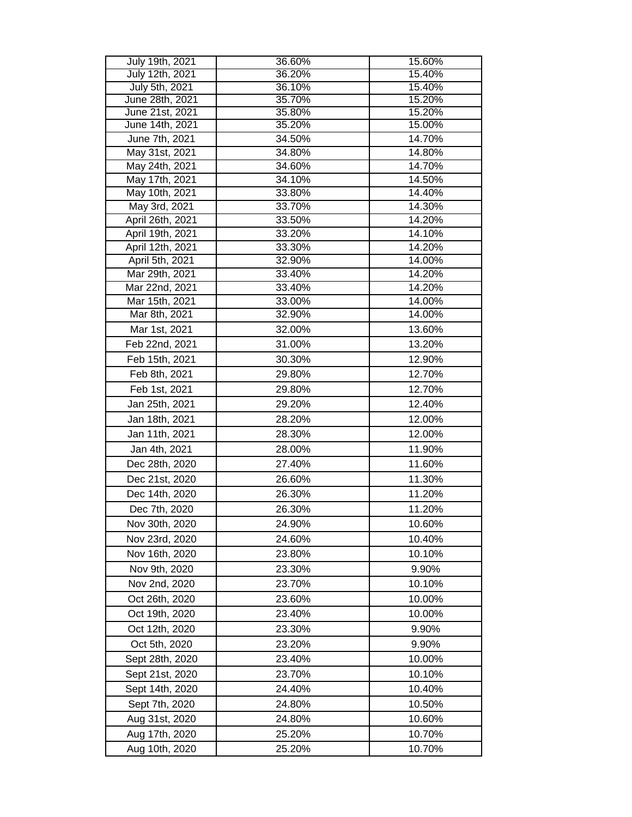| July 19th, 2021                 | 36.60%           | 15.60%           |
|---------------------------------|------------------|------------------|
| July 12th, 2021                 | 36.20%           | 15.40%           |
| July 5th, 2021                  | 36.10%           | 15.40%           |
| June 28th, 2021                 | 35.70%           | 15.20%           |
| June 21st, 2021                 | 35.80%           | 15.20%           |
| June 14th, 2021                 | 35.20%           | 15.00%           |
| June 7th, 2021                  | 34.50%           | 14.70%           |
| May 31st, 2021                  | 34.80%           | 14.80%           |
| May 24th, 2021                  | 34.60%           | 14.70%           |
| May 17th, 2021                  | 34.10%           | 14.50%           |
| May 10th, 2021                  | 33.80%           | 14.40%           |
| May 3rd, 2021                   | 33.70%           | 14.30%           |
| April 26th, 2021                | 33.50%           | 14.20%           |
| April 19th, 2021                | 33.20%           | 14.10%           |
| April 12th, 2021                | 33.30%           | 14.20%           |
| April 5th, 2021                 | 32.90%           | 14.00%           |
| Mar 29th, 2021                  | 33.40%           | 14.20%           |
| Mar 22nd, 2021                  | 33.40%<br>33.00% | 14.20%           |
| Mar 15th, 2021<br>Mar 8th, 2021 | 32.90%           | 14.00%<br>14.00% |
|                                 |                  |                  |
| Mar 1st, 2021                   | 32.00%           | 13.60%           |
| Feb 22nd, 2021                  | 31.00%           | 13.20%           |
| Feb 15th, 2021                  | 30.30%           | 12.90%           |
| Feb 8th, 2021                   | 29.80%           | 12.70%           |
| Feb 1st, 2021                   | 29.80%           | 12.70%           |
| Jan 25th, 2021                  | 29.20%           | 12.40%           |
| Jan 18th, 2021                  | 28.20%           | 12.00%           |
| Jan 11th, 2021                  | 28.30%           | 12.00%           |
| Jan 4th, 2021                   | 28.00%           | 11.90%           |
| Dec 28th, 2020                  | 27.40%           | 11.60%           |
| Dec 21st, 2020                  | 26.60%           | 11.30%           |
| Dec 14th, 2020                  | 26.30%           | 11.20%           |
| Dec 7th, 2020                   | 26.30%           | 11.20%           |
| Nov 30th, 2020                  | 24.90%           | 10.60%           |
| Nov 23rd, 2020                  | 24.60%           | 10.40%           |
| Nov 16th, 2020                  | 23.80%           | 10.10%           |
|                                 |                  |                  |
| Nov 9th, 2020                   | 23.30%           | 9.90%            |
| Nov 2nd, 2020                   | 23.70%           | 10.10%           |
| Oct 26th, 2020                  | 23.60%           | 10.00%           |
| Oct 19th, 2020                  | 23.40%           | 10.00%           |
| Oct 12th, 2020                  | 23.30%           | 9.90%            |
| Oct 5th, 2020                   | 23.20%           | 9.90%            |
| Sept 28th, 2020                 | 23.40%           | 10.00%           |
| Sept 21st, 2020                 | 23.70%           | 10.10%           |
| Sept 14th, 2020                 | 24.40%           | 10.40%           |
| Sept 7th, 2020                  | 24.80%           | 10.50%           |
| Aug 31st, 2020                  | 24.80%           | 10.60%           |
| Aug 17th, 2020                  | 25.20%           | 10.70%           |
| Aug 10th, 2020                  | 25.20%           | 10.70%           |
|                                 |                  |                  |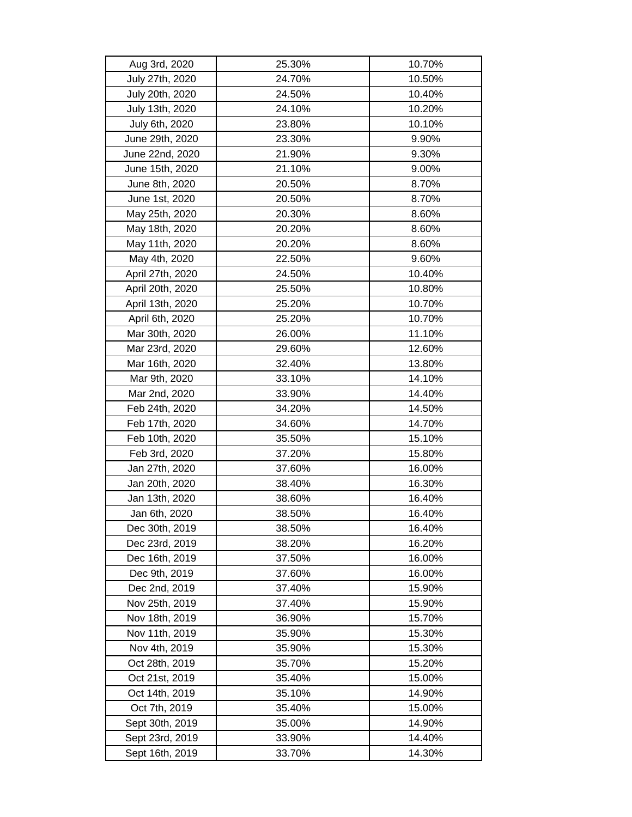| Aug 3rd, 2020    | 25.30% | 10.70% |
|------------------|--------|--------|
| July 27th, 2020  | 24.70% | 10.50% |
| July 20th, 2020  | 24.50% | 10.40% |
| July 13th, 2020  | 24.10% | 10.20% |
| July 6th, 2020   | 23.80% | 10.10% |
| June 29th, 2020  | 23.30% | 9.90%  |
| June 22nd, 2020  | 21.90% | 9.30%  |
| June 15th, 2020  | 21.10% | 9.00%  |
| June 8th, 2020   | 20.50% | 8.70%  |
| June 1st, 2020   | 20.50% | 8.70%  |
| May 25th, 2020   | 20.30% | 8.60%  |
| May 18th, 2020   | 20.20% | 8.60%  |
| May 11th, 2020   | 20.20% | 8.60%  |
| May 4th, 2020    | 22.50% | 9.60%  |
| April 27th, 2020 | 24.50% | 10.40% |
| April 20th, 2020 | 25.50% | 10.80% |
| April 13th, 2020 | 25.20% | 10.70% |
| April 6th, 2020  | 25.20% | 10.70% |
| Mar 30th, 2020   | 26.00% | 11.10% |
| Mar 23rd, 2020   | 29.60% | 12.60% |
| Mar 16th, 2020   | 32.40% | 13.80% |
| Mar 9th, 2020    | 33.10% | 14.10% |
| Mar 2nd, 2020    | 33.90% | 14.40% |
| Feb 24th, 2020   | 34.20% | 14.50% |
| Feb 17th, 2020   | 34.60% | 14.70% |
| Feb 10th, 2020   | 35.50% | 15.10% |
| Feb 3rd, 2020    | 37.20% | 15.80% |
| Jan 27th, 2020   | 37.60% | 16.00% |
| Jan 20th, 2020   | 38.40% | 16.30% |
| Jan 13th, 2020   | 38.60% | 16.40% |
| Jan 6th, 2020    | 38.50% | 16.40% |
| Dec 30th, 2019   | 38.50% | 16.40% |
| Dec 23rd, 2019   | 38.20% | 16.20% |
| Dec 16th, 2019   | 37.50% | 16.00% |
| Dec 9th, 2019    | 37.60% | 16.00% |
| Dec 2nd, 2019    | 37.40% | 15.90% |
| Nov 25th, 2019   | 37.40% | 15.90% |
| Nov 18th, 2019   | 36.90% | 15.70% |
| Nov 11th, 2019   | 35.90% | 15.30% |
| Nov 4th, 2019    | 35.90% | 15.30% |
| Oct 28th, 2019   | 35.70% | 15.20% |
| Oct 21st, 2019   | 35.40% | 15.00% |
| Oct 14th, 2019   | 35.10% | 14.90% |
| Oct 7th, 2019    | 35.40% | 15.00% |
| Sept 30th, 2019  | 35.00% | 14.90% |
| Sept 23rd, 2019  | 33.90% | 14.40% |
| Sept 16th, 2019  | 33.70% | 14.30% |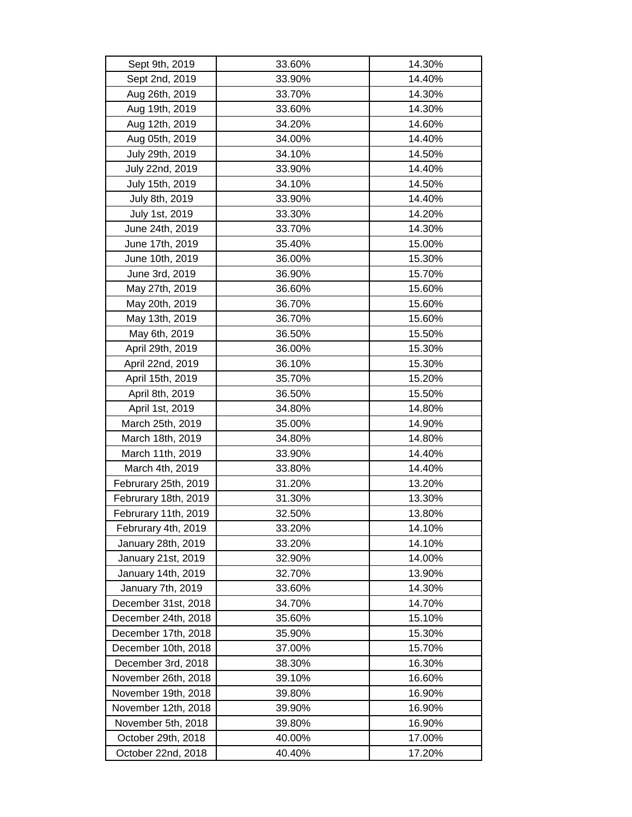| Sept 9th, 2019       | 33.60% | 14.30% |
|----------------------|--------|--------|
| Sept 2nd, 2019       | 33.90% | 14.40% |
| Aug 26th, 2019       | 33.70% | 14.30% |
| Aug 19th, 2019       | 33.60% | 14.30% |
| Aug 12th, 2019       | 34.20% | 14.60% |
| Aug 05th, 2019       | 34.00% | 14.40% |
| July 29th, 2019      | 34.10% | 14.50% |
| July 22nd, 2019      | 33.90% | 14.40% |
| July 15th, 2019      | 34.10% | 14.50% |
| July 8th, 2019       | 33.90% | 14.40% |
| July 1st, 2019       | 33.30% | 14.20% |
| June 24th, 2019      | 33.70% | 14.30% |
| June 17th, 2019      | 35.40% | 15.00% |
| June 10th, 2019      | 36.00% | 15.30% |
| June 3rd, 2019       | 36.90% | 15.70% |
| May 27th, 2019       | 36.60% | 15.60% |
| May 20th, 2019       | 36.70% | 15.60% |
| May 13th, 2019       | 36.70% | 15.60% |
| May 6th, 2019        | 36.50% | 15.50% |
| April 29th, 2019     | 36.00% | 15.30% |
| April 22nd, 2019     | 36.10% | 15.30% |
| April 15th, 2019     | 35.70% | 15.20% |
| April 8th, 2019      | 36.50% | 15.50% |
| April 1st, 2019      | 34.80% | 14.80% |
| March 25th, 2019     | 35.00% | 14.90% |
| March 18th, 2019     | 34.80% | 14.80% |
| March 11th, 2019     | 33.90% | 14.40% |
| March 4th, 2019      | 33.80% | 14.40% |
| Februrary 25th, 2019 | 31.20% | 13.20% |
| Februrary 18th, 2019 | 31.30% | 13.30% |
| Februrary 11th, 2019 | 32.50% | 13.80% |
| Februrary 4th, 2019  | 33.20% | 14.10% |
| January 28th, 2019   | 33.20% | 14.10% |
| January 21st, 2019   | 32.90% | 14.00% |
| January 14th, 2019   | 32.70% | 13.90% |
| January 7th, 2019    | 33.60% | 14.30% |
| December 31st, 2018  | 34.70% | 14.70% |
| December 24th, 2018  | 35.60% | 15.10% |
| December 17th, 2018  | 35.90% | 15.30% |
| December 10th, 2018  | 37.00% | 15.70% |
| December 3rd, 2018   | 38.30% | 16.30% |
| November 26th, 2018  | 39.10% | 16.60% |
| November 19th, 2018  | 39.80% | 16.90% |
| November 12th, 2018  | 39.90% | 16.90% |
| November 5th, 2018   | 39.80% | 16.90% |
| October 29th, 2018   | 40.00% | 17.00% |
| October 22nd, 2018   | 40.40% | 17.20% |